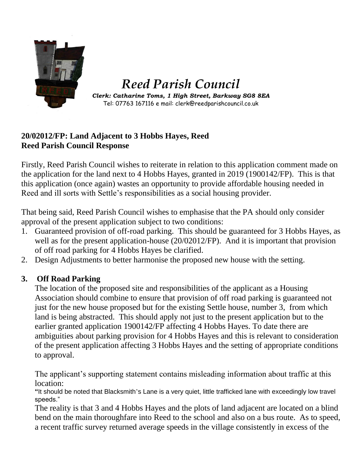

# *Reed Parish Council*

*Clerk: Catharine Toms, 1 High Street, Barkway SG8 8EA* Tel: 07763 167116 e mail: clerk@reedparishcouncil.co.uk

### **20/02012/FP: Land Adjacent to 3 Hobbs Hayes, Reed Reed Parish Council Response**

Firstly, Reed Parish Council wishes to reiterate in relation to this application comment made on the application for the land next to 4 Hobbs Hayes, granted in 2019 (1900142/FP). This is that this application (once again) wastes an opportunity to provide affordable housing needed in Reed and ill sorts with Settle's responsibilities as a social housing provider.

That being said, Reed Parish Council wishes to emphasise that the PA should only consider approval of the present application subject to two conditions:

- 1. Guaranteed provision of off-road parking. This should be guaranteed for 3 Hobbs Hayes, as well as for the present application-house  $(20/02012/FP)$ . And it is important that provision of off road parking for 4 Hobbs Hayes be clarified.
- 2. Design Adjustments to better harmonise the proposed new house with the setting.

## **3. Off Road Parking**

The location of the proposed site and responsibilities of the applicant as a Housing Association should combine to ensure that provision of off road parking is guaranteed not just for the new house proposed but for the existing Settle house, number 3, from which land is being abstracted. This should apply not just to the present application but to the earlier granted application 1900142/FP affecting 4 Hobbs Hayes. To date there are ambiguities about parking provision for 4 Hobbs Hayes and this is relevant to consideration of the present application affecting 3 Hobbs Hayes and the setting of appropriate conditions to approval.

The applicant's supporting statement contains misleading information about traffic at this location:

**"**It should be noted that Blacksmith's Lane is a very quiet, little trafficked lane with exceedingly low travel speeds."

The reality is that 3 and 4 Hobbs Hayes and the plots of land adjacent are located on a blind bend on the main thoroughfare into Reed to the school and also on a bus route. As to speed, a recent traffic survey returned average speeds in the village consistently in excess of the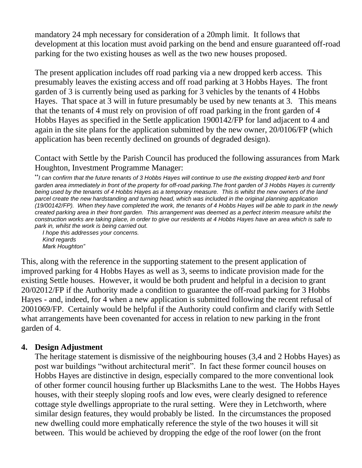mandatory 24 mph necessary for consideration of a 20mph limit. It follows that development at this location must avoid parking on the bend and ensure guaranteed off-road parking for the two existing houses as well as the two new houses proposed.

The present application includes off road parking via a new dropped kerb access. This presumably leaves the existing access and off road parking at 3 Hobbs Hayes. The front garden of 3 is currently being used as parking for 3 vehicles by the tenants of 4 Hobbs Hayes. That space at 3 will in future presumably be used by new tenants at 3. This means that the tenants of 4 must rely on provision of off road parking in the front garden of 4 Hobbs Hayes as specified in the Settle application 1900142/FP for land adjacent to 4 and again in the site plans for the application submitted by the new owner, 20/0106/FP (which application has been recently declined on grounds of degraded design).

Contact with Settle by the Parish Council has produced the following assurances from Mark Houghton, Investment Programme Manager:

"*I can confirm that the future tenants of 3 Hobbs Hayes will continue to use the existing dropped kerb and front garden area immediately in front of the property for off-road parking.The front garden of 3 Hobbs Hayes is currently being used by the tenants of 4 Hobbs Hayes as a temporary measure. This is whilst the new owners of the land parcel create the new hardstanding and turning head, which was included in the original planning application (19/00142/FP). When they have completed the work, the tenants of 4 Hobbs Hayes will be able to park in the newly*  created parking area in their front garden. This arrangement was deemed as a perfect interim measure whilst the *construction works are taking place, in order to give our residents at 4 Hobbs Hayes have an area which is safe to park in, whilst the work is being carried out.*

*I hope this addresses your concerns. Kind regards Mark Houghton"*

This, along with the reference in the supporting statement to the present application of improved parking for 4 Hobbs Hayes as well as 3, seems to indicate provision made for the existing Settle houses. However, it would be both prudent and helpful in a decision to grant 20/02012/FP if the Authority made a condition to guarantee the off-road parking for 3 Hobbs Hayes - and, indeed, for 4 when a new application is submitted following the recent refusal of 2001069/FP. Certainly would be helpful if the Authority could confirm and clarify with Settle what arrangements have been covenanted for access in relation to new parking in the front garden of 4.

#### **4. Design Adjustment**

The heritage statement is dismissive of the neighbouring houses (3,4 and 2 Hobbs Hayes) as post war buildings "without architectural merit". In fact these former council houses on Hobbs Hayes are distinctive in design, especially compared to the more conventional look of other former council housing further up Blacksmiths Lane to the west. The Hobbs Hayes houses, with their steeply sloping roofs and low eves, were clearly designed to reference cottage style dwellings appropriate to the rural setting. Were they in Letchworth, where similar design features, they would probably be listed. In the circumstances the proposed new dwelling could more emphatically reference the style of the two houses it will sit between. This would be achieved by dropping the edge of the roof lower (on the front